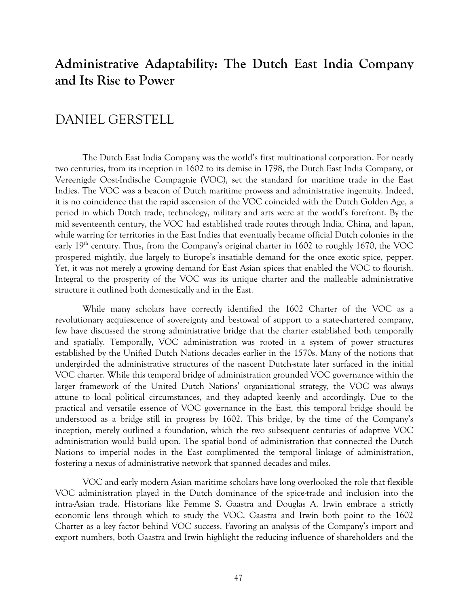## **Administrative Adaptability: The Dutch East India Company and Its Rise to Power**

## DANIEL GERSTELL

The Dutch East India Company was the world's first multinational corporation. For nearly two centuries, from its inception in 1602 to its demise in 1798, the Dutch East India Company, or Vereenigde Oost-Indische Compagnie (VOC), set the standard for maritime trade in the East Indies. The VOC was a beacon of Dutch maritime prowess and administrative ingenuity. Indeed, it is no coincidence that the rapid ascension of the VOC coincided with the Dutch Golden Age, a period in which Dutch trade, technology, military and arts were at the world's forefront. By the mid seventeenth century, the VOC had established trade routes through India, China, and Japan, while warring for territories in the East Indies that eventually became official Dutch colonies in the early  $19<sup>th</sup>$  century. Thus, from the Company's original charter in 1602 to roughly 1670, the VOC prospered mightily, due largely to Europe's insatiable demand for the once exotic spice, pepper. Yet, it was not merely a growing demand for East Asian spices that enabled the VOC to flourish. Integral to the prosperity of the VOC was its unique charter and the malleable administrative structure it outlined both domestically and in the East.

While many scholars have correctly identified the 1602 Charter of the VOC as a revolutionary acquiescence of sovereignty and bestowal of support to a state-chartered company, few have discussed the strong administrative bridge that the charter established both temporally and spatially. Temporally, VOC administration was rooted in a system of power structures established by the Unified Dutch Nations decades earlier in the 1570s. Many of the notions that undergirded the administrative structures of the nascent Dutch-state later surfaced in the initial VOC charter. While this temporal bridge of administration grounded VOC governance within the larger framework of the United Dutch Nations' organizational strategy, the VOC was always attune to local political circumstances, and they adapted keenly and accordingly. Due to the practical and versatile essence of VOC governance in the East, this temporal bridge should be understood as a bridge still in progress by 1602. This bridge, by the time of the Company's inception, merely outlined a foundation, which the two subsequent centuries of adaptive VOC administration would build upon. The spatial bond of administration that connected the Dutch Nations to imperial nodes in the East complimented the temporal linkage of administration, fostering a nexus of administrative network that spanned decades and miles.

VOC and early modern Asian maritime scholars have long overlooked the role that flexible VOC administration played in the Dutch dominance of the spice-trade and inclusion into the intra-Asian trade. Historians like Femme S. Gaastra and Douglas A. Irwin embrace a strictly economic lens through which to study the VOC. Gaastra and Irwin both point to the 1602 Charter as a key factor behind VOC success. Favoring an analysis of the Company's import and export numbers, both Gaastra and Irwin highlight the reducing influence of shareholders and the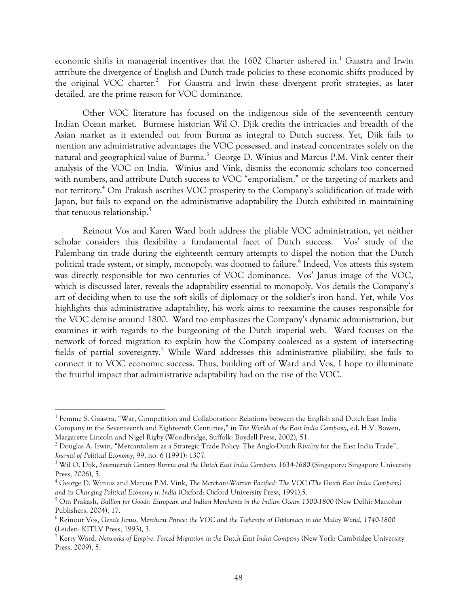economic shifts in managerial incentives that the 1602 Charter ushered in.<sup>1</sup> Gaastra and Irwin attribute the divergence of English and Dutch trade policies to these economic shifts produced by the original VOC charter.<sup>2</sup> For Gaastra and Irwin these divergent profit strategies, as later detailed, are the prime reason for VOC dominance.

Other VOC literature has focused on the indigenous side of the seventeenth century Indian Ocean market. Burmese historian Wil O. Djik credits the intricacies and breadth of the Asian market as it extended out from Burma as integral to Dutch success. Yet, Djik fails to mention any administrative advantages the VOC possessed, and instead concentrates solely on the natural and geographical value of Burma.<sup>3</sup> George D. Winius and Marcus P.M. Vink center their analysis of the VOC on India. Winius and Vink, dismiss the economic scholars too concerned with numbers, and attribute Dutch success to VOC "emporialism," or the targeting of markets and not territory.<sup>4</sup> Om Prakash ascribes VOC prosperity to the Company's solidification of trade with Japan, but fails to expand on the administrative adaptability the Dutch exhibited in maintaining that tenuous relationship.<sup>5</sup>

Reinout Vos and Karen Ward both address the pliable VOC administration, yet neither scholar considers this flexibility a fundamental facet of Dutch success. Vos' study of the Palembang tin trade during the eighteenth century attempts to dispel the notion that the Dutch political trade system, or simply, monopoly, was doomed to failure.<sup>6</sup> Indeed, Vos attests this system was directly responsible for two centuries of VOC dominance. Vos' Janus image of the VOC, which is discussed later, reveals the adaptability essential to monopoly. Vos details the Company's art of deciding when to use the soft skills of diplomacy or the soldier's iron hand. Yet, while Vos highlights this administrative adaptability, his work aims to reexamine the causes responsible for the VOC demise around 1800. Ward too emphasizes the Company's dynamic administration, but examines it with regards to the burgeoning of the Dutch imperial web. Ward focuses on the network of forced migration to explain how the Company coalesced as a system of intersecting fields of partial sovereignty.<sup>7</sup> While Ward addresses this administrative pliability, she fails to connect it to VOC economic success. Thus, building off of Ward and Vos, I hope to illuminate the fruitful impact that administrative adaptability had on the rise of the VOC.

<u> 1989 - Jan Samuel Barbara, político establecido de la provincia de la provincia de la provincia de la provinci</u>

<sup>1</sup> Femme S. Gaastra, "War, Competition and Collaboration: Relations between the English and Dutch East India Company in the Seventeenth and Eighteenth Centuries," in *The Worlds of the East India Company*, ed. H.V. Bowen, Margarette Lincoln and Nigel Rigby (Woodbridge, Suffolk: Boydell Press, 2002), 51.

<sup>&</sup>lt;sup>2</sup> Douglas A. Irwin, "Mercantalism as a Strategic Trade Policy: The Anglo-Dutch Rivalry for the East India Trade",

*Journal of Political Economy, 99, no. 6 (1991): 1307.*<br><sup>3</sup> Wil O. Dijk, Seventeenth Century Burma and the Dutch East India Company 1634-1680 (Singapore: Singapore University Press, 2006), 5.

<sup>4</sup> George D. Winius and Marcus P.M. Vink, *The Merchant-Warrior Pacified: The VOC (The Dutch East India Company) and its Changing Political Economy in India* (Oxford: Oxford University Press, 1991),5.

<sup>5</sup> Om Prakash, *Bullion for Goods: European and Indian Merchants in the Indian Ocean 1500-1800* (New Delhi: Manohar Publishers, 2004), 17.

<sup>6</sup> Reinout Vos, *Gentle Janus, Merchant Prince: the VOC and the Tightrope of Diplomacy in the Malay World, 1740-1800* (Leiden: KITLV Press, 1993), 3.

<sup>7</sup> Kerry Ward, *Networks of Empire: Forced Migration in the Dutch East India Company* (New York: Cambridge University Press, 2009), 5.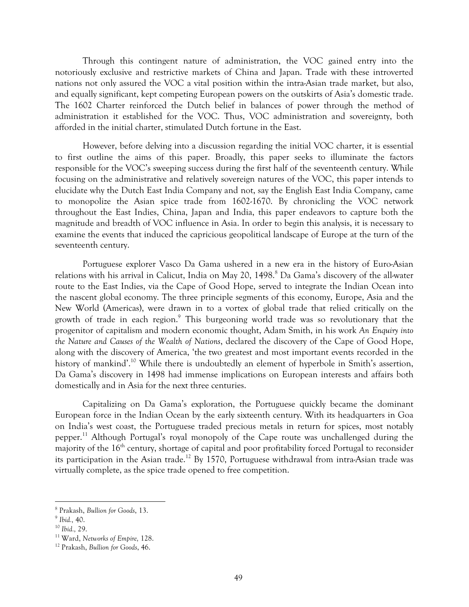Through this contingent nature of administration, the VOC gained entry into the notoriously exclusive and restrictive markets of China and Japan. Trade with these introverted nations not only assured the VOC a vital position within the intra-Asian trade market, but also, and equally significant, kept competing European powers on the outskirts of Asia's domestic trade. The 1602 Charter reinforced the Dutch belief in balances of power through the method of administration it established for the VOC. Thus, VOC administration and sovereignty, both afforded in the initial charter, stimulated Dutch fortune in the East.

However, before delving into a discussion regarding the initial VOC charter, it is essential to first outline the aims of this paper. Broadly, this paper seeks to illuminate the factors responsible for the VOC's sweeping success during the first half of the seventeenth century. While focusing on the administrative and relatively sovereign natures of the VOC, this paper intends to elucidate why the Dutch East India Company and not, say the English East India Company, came to monopolize the Asian spice trade from 1602-1670. By chronicling the VOC network throughout the East Indies, China, Japan and India, this paper endeavors to capture both the magnitude and breadth of VOC influence in Asia. In order to begin this analysis, it is necessary to examine the events that induced the capricious geopolitical landscape of Europe at the turn of the seventeenth century.

Portuguese explorer Vasco Da Gama ushered in a new era in the history of Euro-Asian relations with his arrival in Calicut, India on May 20, 1498.<sup>8</sup> Da Gama's discovery of the all-water route to the East Indies, via the Cape of Good Hope, served to integrate the Indian Ocean into the nascent global economy. The three principle segments of this economy, Europe, Asia and the New World (Americas), were drawn in to a vortex of global trade that relied critically on the growth of trade in each region.<sup>9</sup> This burgeoning world trade was so revolutionary that the progenitor of capitalism and modern economic thought, Adam Smith, in his work *An Enquiry into the Nature and Causes of the Wealth of Nations*, declared the discovery of the Cape of Good Hope, along with the discovery of America, 'the two greatest and most important events recorded in the history of mankind'.<sup>10</sup> While there is undoubtedly an element of hyperbole in Smith's assertion, Da Gama's discovery in 1498 had immense implications on European interests and affairs both domestically and in Asia for the next three centuries.

Capitalizing on Da Gama's exploration, the Portuguese quickly became the dominant European force in the Indian Ocean by the early sixteenth century. With its headquarters in Goa on India's west coast, the Portuguese traded precious metals in return for spices, most notably pepper.11 Although Portugal's royal monopoly of the Cape route was unchallenged during the majority of the 16<sup>th</sup> century, shortage of capital and poor profitability forced Portugal to reconsider its participation in the Asian trade.<sup>12</sup> By 1570, Portuguese withdrawal from intra-Asian trade was virtually complete, as the spice trade opened to free competition.

<sup>8</sup> Prakash, *Bullion for Goods*, 13. 9 *Ibid.,* 40.

<sup>10</sup> *Ibid.,* 29.

<sup>11</sup> Ward, *Networks of Empire,* 128.

<sup>12</sup> Prakash, *Bullion for Goods*, 46.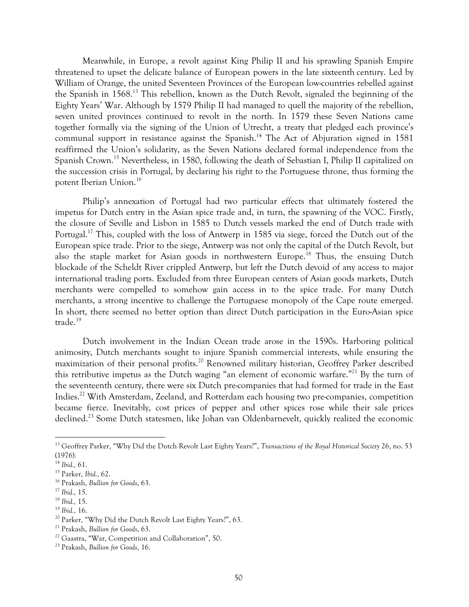Meanwhile, in Europe, a revolt against King Philip II and his sprawling Spanish Empire threatened to upset the delicate balance of European powers in the late sixteenth century. Led by William of Orange, the united Seventeen Provinces of the European low-countries rebelled against the Spanish in 1568.13 This rebellion, known as the Dutch Revolt, signaled the beginning of the Eighty Years' War. Although by 1579 Philip II had managed to quell the majority of the rebellion, seven united provinces continued to revolt in the north. In 1579 these Seven Nations came together formally via the signing of the Union of Utrecht, a treaty that pledged each province's communal support in resistance against the Spanish.<sup>14</sup> The Act of Abjuration signed in 1581 reaffirmed the Union's solidarity, as the Seven Nations declared formal independence from the Spanish Crown.15 Nevertheless, in 1580, following the death of Sebastian I, Philip II capitalized on the succession crisis in Portugal, by declaring his right to the Portuguese throne, thus forming the potent Iberian Union.16

Philip's annexation of Portugal had two particular effects that ultimately fostered the impetus for Dutch entry in the Asian spice trade and, in turn, the spawning of the VOC. Firstly, the closure of Seville and Lisbon in 1585 to Dutch vessels marked the end of Dutch trade with Portugal.<sup>17</sup> This, coupled with the loss of Antwerp in 1585 via siege, forced the Dutch out of the European spice trade. Prior to the siege, Antwerp was not only the capital of the Dutch Revolt, but also the staple market for Asian goods in northwestern Europe.<sup>18</sup> Thus, the ensuing Dutch blockade of the Scheldt River crippled Antwerp, but left the Dutch devoid of any access to major international trading ports. Excluded from three European centers of Asian goods markets, Dutch merchants were compelled to somehow gain access in to the spice trade. For many Dutch merchants, a strong incentive to challenge the Portuguese monopoly of the Cape route emerged. In short, there seemed no better option than direct Dutch participation in the Euro-Asian spice trade.<sup>19</sup>

Dutch involvement in the Indian Ocean trade arose in the 1590s. Harboring political animosity, Dutch merchants sought to injure Spanish commercial interests, while ensuring the maximization of their personal profits.<sup>20</sup> Renowned military historian, Geoffrey Parker described this retributive impetus as the Dutch waging "an element of economic warfare."<sup>21</sup> By the turn of the seventeenth century, there were six Dutch pre-companies that had formed for trade in the East Indies.22 With Amsterdam, Zeeland, and Rotterdam each housing two pre-companies, competition became fierce. Inevitably, cost prices of pepper and other spices rose while their sale prices declined.<sup>23</sup> Some Dutch statesmen, like Johan van Oldenbarnevelt, quickly realized the economic

<u> 1989 - Jan Samuel Barbara, margaret e</u>

<sup>19</sup> *Ibid.,* 16.

<sup>13</sup> Geoffrey Parker, "Why Did the Dutch Revolt Last Eighty Years?", *Transactions of the Royal Historical Society* 26, no. 53 (1976).

<sup>14</sup> *Ibid.,* 61.

<sup>15</sup> Parker, *Ibid.,* 62.

<sup>16</sup> Prakash, *Bullion for Goods*, 63.

<sup>17</sup> *Ibid.,* 15.

<sup>18</sup> *Ibid.,* 15.

<sup>&</sup>lt;sup>20</sup> Parker, "Why Did the Dutch Revolt Last Eighty Years?", 63.

<sup>21</sup> Prakash, *Bullion for Goods*, 63.

<sup>22</sup> Gaastra, "War, Competition and Collaboration", 50. 23 Prakash, *Bullion for Goods*, 16.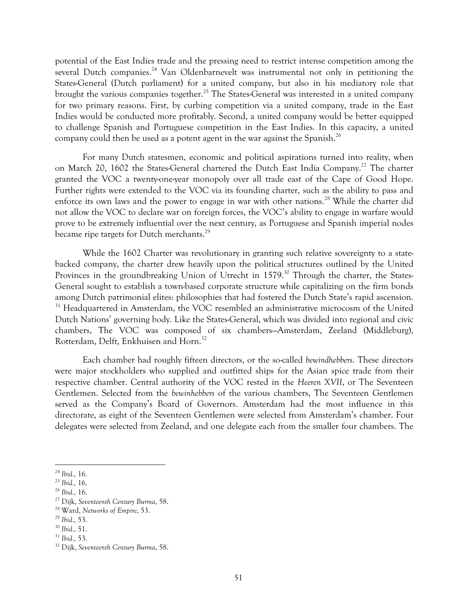potential of the East Indies trade and the pressing need to restrict intense competition among the several Dutch companies.<sup>24</sup> Van Oldenbarnevelt was instrumental not only in petitioning the States-General (Dutch parliament) for a united company, but also in his mediatory role that brought the various companies together.<sup>25</sup> The States-General was interested in a united company for two primary reasons. First, by curbing competition via a united company, trade in the East Indies would be conducted more profitably. Second, a united company would be better equipped to challenge Spanish and Portuguese competition in the East Indies. In this capacity, a united company could then be used as a potent agent in the war against the Spanish.<sup>26</sup>

For many Dutch statesmen, economic and political aspirations turned into reality, when on March 20, 1602 the States-General chartered the Dutch East India Company.<sup>27</sup> The charter granted the VOC a twenty-one-year monopoly over all trade east of the Cape of Good Hope. Further rights were extended to the VOC via its founding charter, such as the ability to pass and enforce its own laws and the power to engage in war with other nations.<sup>28</sup> While the charter did not allow the VOC to declare war on foreign forces, the VOC's ability to engage in warfare would prove to be extremely influential over the next century, as Portuguese and Spanish imperial nodes became ripe targets for Dutch merchants.<sup>29</sup>

While the 1602 Charter was revolutionary in granting such relative sovereignty to a statebacked company, the charter drew heavily upon the political structures outlined by the United Provinces in the groundbreaking Union of Utrecht in 1579.<sup>30</sup> Through the charter, the States-General sought to establish a town-based corporate structure while capitalizing on the firm bonds among Dutch patrimonial elites: philosophies that had fostered the Dutch State's rapid ascension. <sup>31</sup> Headquartered in Amsterdam, the VOC resembled an administrative microcosm of the United Dutch Nations' governing body. Like the States-General, which was divided into regional and civic chambers, The VOC was composed of six chambers—Amsterdam, Zeeland (Middleburg), Rotterdam, Delft, Enkhuisen and Horn.<sup>32</sup>

Each chamber had roughly fifteen directors, or the so-called *bewindhebbers*. These directors were major stockholders who supplied and outfitted ships for the Asian spice trade from their respective chamber. Central authority of the VOC rested in the *Heeren XVII*, or The Seventeen Gentlemen. Selected from the *bewinhebbers* of the various chambers, The Seventeen Gentlemen served as the Company's Board of Governors. Amsterdam had the most influence in this directorate, as eight of the Seventeen Gentlemen were selected from Amsterdam's chamber. Four delegates were selected from Zeeland, and one delegate each from the smaller four chambers. The

<sup>24</sup> *Ibid.,* 16. 25 *Ibid.,* 16. 26 *Ibid.,* 16.

<sup>27</sup> Dijk, *Seventeenth Century Burma*, 58.

<sup>28</sup> Ward, *Networks of Empire*, 53. 29 *Ibid.,* 53. 30 *Ibid.,* 51. 31 *Ibid.,* 53.

<sup>32</sup> Dijk, *Seventeenth Century Burma*, 58.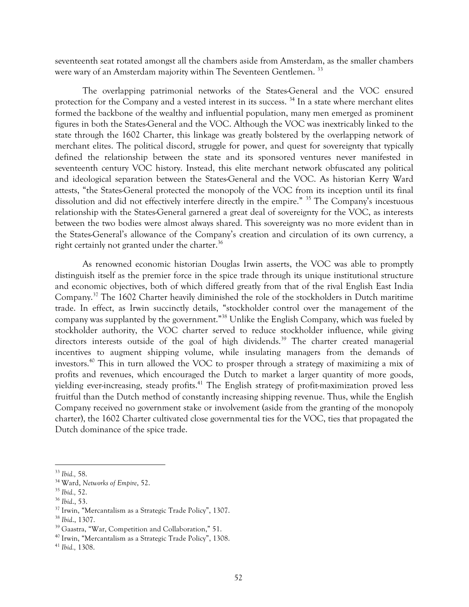seventeenth seat rotated amongst all the chambers aside from Amsterdam, as the smaller chambers were wary of an Amsterdam majority within The Seventeen Gentlemen.<sup>33</sup>

The overlapping patrimonial networks of the States-General and the VOC ensured protection for the Company and a vested interest in its success.<sup>34</sup> In a state where merchant elites formed the backbone of the wealthy and influential population, many men emerged as prominent figures in both the States-General and the VOC. Although the VOC was inextricably linked to the state through the 1602 Charter, this linkage was greatly bolstered by the overlapping network of merchant elites. The political discord, struggle for power, and quest for sovereignty that typically defined the relationship between the state and its sponsored ventures never manifested in seventeenth century VOC history. Instead, this elite merchant network obfuscated any political and ideological separation between the States-General and the VOC. As historian Kerry Ward attests, "the States-General protected the monopoly of the VOC from its inception until its final dissolution and did not effectively interfere directly in the empire." 35 The Company's incestuous relationship with the States-General garnered a great deal of sovereignty for the VOC, as interests between the two bodies were almost always shared. This sovereignty was no more evident than in the States-General's allowance of the Company's creation and circulation of its own currency, a right certainly not granted under the charter.<sup>36</sup>

As renowned economic historian Douglas Irwin asserts, the VOC was able to promptly distinguish itself as the premier force in the spice trade through its unique institutional structure and economic objectives, both of which differed greatly from that of the rival English East India Company.37 The 1602 Charter heavily diminished the role of the stockholders in Dutch maritime trade. In effect, as Irwin succinctly details, "stockholder control over the management of the company was supplanted by the government."38 Unlike the English Company, which was fueled by stockholder authority, the VOC charter served to reduce stockholder influence, while giving directors interests outside of the goal of high dividends.<sup>39</sup> The charter created managerial incentives to augment shipping volume, while insulating managers from the demands of investors.40 This in turn allowed the VOC to prosper through a strategy of maximizing a mix of profits and revenues, which encouraged the Dutch to market a larger quantity of more goods, yielding ever-increasing, steady profits.<sup>41</sup> The English strategy of profit-maximization proved less fruitful than the Dutch method of constantly increasing shipping revenue. Thus, while the English Company received no government stake or involvement (aside from the granting of the monopoly charter), the 1602 Charter cultivated close governmental ties for the VOC, ties that propagated the Dutch dominance of the spice trade.

<sup>33</sup> *Ibid.,* 58.

<sup>34</sup> Ward, *Networks of Empire*, 52. 35 *Ibid.,* 52.

<sup>&</sup>lt;sup>37</sup> Irwin, "Mercantalism as a Strategic Trade Policy", 1307.

<sup>38</sup> *Ibid*., 1307.

<sup>39</sup> Gaastra, "War, Competition and Collaboration," 51.

<sup>40</sup> Irwin, "Mercantalism as a Strategic Trade Policy", 1308.

<sup>41</sup> *Ibid.,* 1308.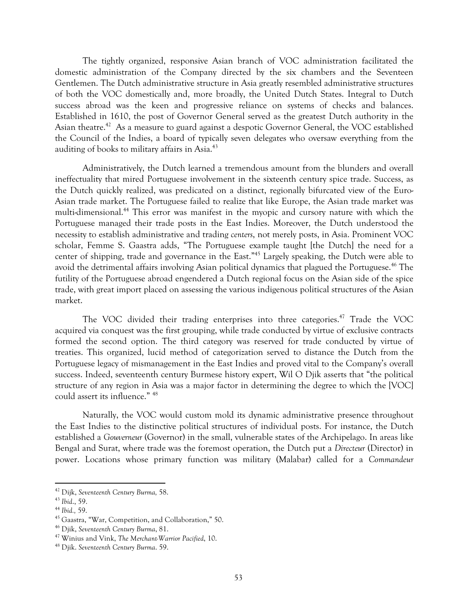The tightly organized, responsive Asian branch of VOC administration facilitated the domestic administration of the Company directed by the six chambers and the Seventeen Gentlemen. The Dutch administrative structure in Asia greatly resembled administrative structures of both the VOC domestically and, more broadly, the United Dutch States. Integral to Dutch success abroad was the keen and progressive reliance on systems of checks and balances. Established in 1610, the post of Governor General served as the greatest Dutch authority in the Asian theatre.<sup>42</sup> As a measure to guard against a despotic Governor General, the VOC established the Council of the Indies, a board of typically seven delegates who oversaw everything from the auditing of books to military affairs in Asia.<sup>43</sup>

Administratively, the Dutch learned a tremendous amount from the blunders and overall ineffectuality that mired Portuguese involvement in the sixteenth century spice trade. Success, as the Dutch quickly realized, was predicated on a distinct, regionally bifurcated view of the Euro-Asian trade market. The Portuguese failed to realize that like Europe, the Asian trade market was multi-dimensional.44 This error was manifest in the myopic and cursory nature with which the Portuguese managed their trade posts in the East Indies. Moreover, the Dutch understood the necessity to establish administrative and trading *centers*, not merely posts, in Asia. Prominent VOC scholar, Femme S. Gaastra adds, "The Portuguese example taught [the Dutch] the need for a center of shipping, trade and governance in the East."45 Largely speaking, the Dutch were able to avoid the detrimental affairs involving Asian political dynamics that plagued the Portuguese.<sup>46</sup> The futility of the Portuguese abroad engendered a Dutch regional focus on the Asian side of the spice trade, with great import placed on assessing the various indigenous political structures of the Asian market.

The VOC divided their trading enterprises into three categories.<sup>47</sup> Trade the VOC acquired via conquest was the first grouping, while trade conducted by virtue of exclusive contracts formed the second option. The third category was reserved for trade conducted by virtue of treaties. This organized, lucid method of categorization served to distance the Dutch from the Portuguese legacy of mismanagement in the East Indies and proved vital to the Company's overall success. Indeed, seventeenth century Burmese history expert, Wil O Djik asserts that "the political structure of any region in Asia was a major factor in determining the degree to which the [VOC] could assert its influence." 48

Naturally, the VOC would custom mold its dynamic administrative presence throughout the East Indies to the distinctive political structures of individual posts. For instance, the Dutch established a *Gouverneur* (Governor) in the small, vulnerable states of the Archipelago. In areas like Bengal and Surat, where trade was the foremost operation, the Dutch put a *Directeur* (Director) in power. Locations whose primary function was military (Malabar) called for a *Commandeur* 

<sup>&</sup>lt;u> 1989 - Jan Samuel Barbara, margaret e</u> <sup>42</sup> Dijk, *Seventeenth Century Burma,* 58.

<sup>43</sup> *Ibid*., 59.

<sup>44</sup> *Ibid.,* 59.

<sup>45</sup> Gaastra, "War, Competition, and Collaboration," 50.

<sup>46</sup> Djik, *Seventeenth Century Burma*, 81.

<sup>47</sup> Winius and Vink, *The Merchant-Warrior Pacified*, 10.

<sup>48</sup> Djik. *Seventeenth Century Burma*. 59.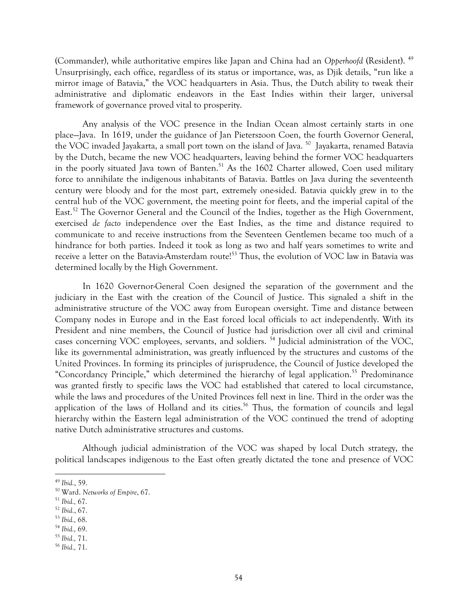(Commander), while authoritative empires like Japan and China had an *Opperhoofd* (Resident). 49 Unsurprisingly, each office, regardless of its status or importance, was, as Djik details, "run like a mirror image of Batavia," the VOC headquarters in Asia. Thus, the Dutch ability to tweak their administrative and diplomatic endeavors in the East Indies within their larger, universal framework of governance proved vital to prosperity.

Any analysis of the VOC presence in the Indian Ocean almost certainly starts in one place—Java. In 1619, under the guidance of Jan Pieterszoon Coen, the fourth Governor General, the VOC invaded Jayakarta, a small port town on the island of Java.<sup>50</sup> Jayakarta, renamed Batavia by the Dutch, became the new VOC headquarters, leaving behind the former VOC headquarters in the poorly situated Java town of Banten.<sup>51</sup> As the 1602 Charter allowed, Coen used military force to annihilate the indigenous inhabitants of Batavia. Battles on Java during the seventeenth century were bloody and for the most part, extremely one-sided. Batavia quickly grew in to the central hub of the VOC government, the meeting point for fleets, and the imperial capital of the East.<sup>52</sup> The Governor General and the Council of the Indies, together as the High Government, exercised *de facto* independence over the East Indies, as the time and distance required to communicate to and receive instructions from the Seventeen Gentlemen became too much of a hindrance for both parties. Indeed it took as long as two and half years sometimes to write and receive a letter on the Batavia-Amsterdam route!<sup>53</sup> Thus, the evolution of VOC law in Batavia was determined locally by the High Government.

In 1620 Governor-General Coen designed the separation of the government and the judiciary in the East with the creation of the Council of Justice. This signaled a shift in the administrative structure of the VOC away from European oversight. Time and distance between Company nodes in Europe and in the East forced local officials to act independently. With its President and nine members, the Council of Justice had jurisdiction over all civil and criminal cases concerning VOC employees, servants, and soldiers. 54 Judicial administration of the VOC, like its governmental administration, was greatly influenced by the structures and customs of the United Provinces. In forming its principles of jurisprudence, the Council of Justice developed the "Concordancy Principle," which determined the hierarchy of legal application.<sup>55</sup> Predominance was granted firstly to specific laws the VOC had established that catered to local circumstance, while the laws and procedures of the United Provinces fell next in line. Third in the order was the application of the laws of Holland and its cities.<sup>56</sup> Thus, the formation of councils and legal hierarchy within the Eastern legal administration of the VOC continued the trend of adopting native Dutch administrative structures and customs.

Although judicial administration of the VOC was shaped by local Dutch strategy, the political landscapes indigenous to the East often greatly dictated the tone and presence of VOC

<sup>49</sup> *Ibid.*, 59. 50 Ward. *Networks of Empire*, 67.

<sup>51</sup> *Ibid.,* 67. 52 *Ibid.*, 67. 53 *Ibid.,* 68.

<sup>54</sup> *Ibid.,* 69.

<sup>55</sup> *Ibid.,* 71.

<sup>56</sup> *Ibid.,* 71.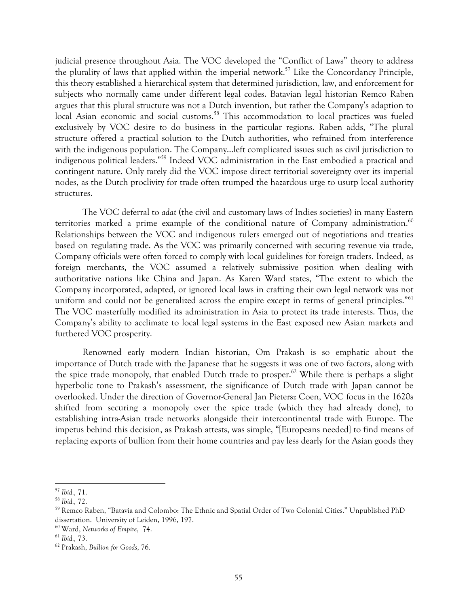judicial presence throughout Asia. The VOC developed the "Conflict of Laws" theory to address the plurality of laws that applied within the imperial network.<sup>57</sup> Like the Concordancy Principle, this theory established a hierarchical system that determined jurisdiction, law, and enforcement for subjects who normally came under different legal codes. Batavian legal historian Remco Raben argues that this plural structure was not a Dutch invention, but rather the Company's adaption to local Asian economic and social customs.<sup>58</sup> This accommodation to local practices was fueled exclusively by VOC desire to do business in the particular regions. Raben adds, "The plural structure offered a practical solution to the Dutch authorities, who refrained from interference with the indigenous population. The Company…left complicated issues such as civil jurisdiction to indigenous political leaders."59 Indeed VOC administration in the East embodied a practical and contingent nature. Only rarely did the VOC impose direct territorial sovereignty over its imperial nodes, as the Dutch proclivity for trade often trumped the hazardous urge to usurp local authority structures.

The VOC deferral to *adat* (the civil and customary laws of Indies societies) in many Eastern territories marked a prime example of the conditional nature of Company administration.<sup>60</sup> Relationships between the VOC and indigenous rulers emerged out of negotiations and treaties based on regulating trade. As the VOC was primarily concerned with securing revenue via trade, Company officials were often forced to comply with local guidelines for foreign traders. Indeed, as foreign merchants, the VOC assumed a relatively submissive position when dealing with authoritative nations like China and Japan. As Karen Ward states, "The extent to which the Company incorporated, adapted, or ignored local laws in crafting their own legal network was not uniform and could not be generalized across the empire except in terms of general principles."<sup>61</sup> The VOC masterfully modified its administration in Asia to protect its trade interests. Thus, the Company's ability to acclimate to local legal systems in the East exposed new Asian markets and furthered VOC prosperity.

Renowned early modern Indian historian, Om Prakash is so emphatic about the importance of Dutch trade with the Japanese that he suggests it was one of two factors, along with the spice trade monopoly, that enabled Dutch trade to prosper.<sup>62</sup> While there is perhaps a slight hyperbolic tone to Prakash's assessment, the significance of Dutch trade with Japan cannot be overlooked. Under the direction of Governor-General Jan Pietersz Coen, VOC focus in the 1620s shifted from securing a monopoly over the spice trade (which they had already done), to establishing intra-Asian trade networks alongside their intercontinental trade with Europe. The impetus behind this decision, as Prakash attests, was simple, "[Europeans needed] to find means of replacing exports of bullion from their home countries and pay less dearly for the Asian goods they

<sup>57</sup> *Ibid.,* 71.

<sup>58</sup> *Ibid.,* 72.

<sup>59</sup> Remco Raben, "Batavia and Colombo: The Ethnic and Spatial Order of Two Colonial Cities." Unpublished PhD dissertation. University of Leiden, 1996, 197.

<sup>60</sup> Ward, *Networks of Empire*, 74.

<sup>61</sup> *Ibid.,* 73.

<sup>62</sup> Prakash, *Bullion for Goods*, 76.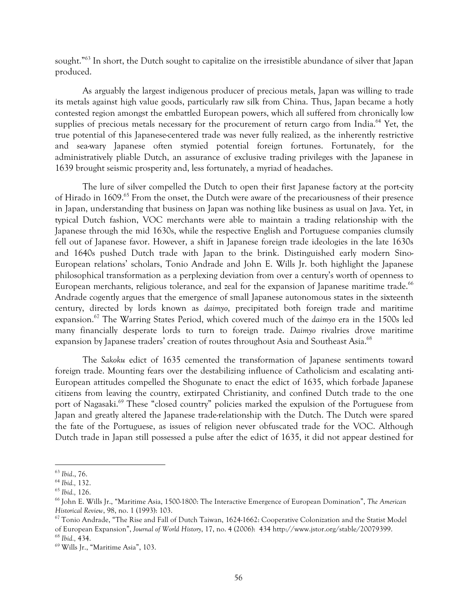sought."63 In short, the Dutch sought to capitalize on the irresistible abundance of silver that Japan produced.

As arguably the largest indigenous producer of precious metals, Japan was willing to trade its metals against high value goods, particularly raw silk from China. Thus, Japan became a hotly contested region amongst the embattled European powers, which all suffered from chronically low supplies of precious metals necessary for the procurement of return cargo from India.<sup>64</sup> Yet, the true potential of this Japanese-centered trade was never fully realized, as the inherently restrictive and sea-wary Japanese often stymied potential foreign fortunes. Fortunately, for the administratively pliable Dutch, an assurance of exclusive trading privileges with the Japanese in 1639 brought seismic prosperity and, less fortunately, a myriad of headaches.

The lure of silver compelled the Dutch to open their first Japanese factory at the port-city of Hirado in 1609.<sup>65</sup> From the onset, the Dutch were aware of the precariousness of their presence in Japan, understanding that business on Japan was nothing like business as usual on Java. Yet, in typical Dutch fashion, VOC merchants were able to maintain a trading relationship with the Japanese through the mid 1630s, while the respective English and Portuguese companies clumsily fell out of Japanese favor. However, a shift in Japanese foreign trade ideologies in the late 1630s and 1640s pushed Dutch trade with Japan to the brink. Distinguished early modern Sino-European relations' scholars, Tonio Andrade and John E. Wills Jr. both highlight the Japanese philosophical transformation as a perplexing deviation from over a century's worth of openness to European merchants, religious tolerance, and zeal for the expansion of Japanese maritime trade.<sup>66</sup> Andrade cogently argues that the emergence of small Japanese autonomous states in the sixteenth century, directed by lords known as *daimyo*, precipitated both foreign trade and maritime expansion.67 The Warring States Period, which covered much of the *daimyo* era in the 1500s led many financially desperate lords to turn to foreign trade. *Daimyo* rivalries drove maritime expansion by Japanese traders' creation of routes throughout Asia and Southeast Asia.<sup>68</sup>

The *Sakoku* edict of 1635 cemented the transformation of Japanese sentiments toward foreign trade. Mounting fears over the destabilizing influence of Catholicism and escalating anti-European attitudes compelled the Shogunate to enact the edict of 1635, which forbade Japanese citizens from leaving the country, extirpated Christianity, and confined Dutch trade to the one port of Nagasaki.<sup>69</sup> These "closed country" policies marked the expulsion of the Portuguese from Japan and greatly altered the Japanese trade-relationship with the Dutch. The Dutch were spared the fate of the Portuguese, as issues of religion never obfuscated trade for the VOC. Although Dutch trade in Japan still possessed a pulse after the edict of 1635, it did not appear destined for

<sup>63</sup> *Ibid*., 76.

<sup>64</sup> *Ibid.,* 132.

<sup>65</sup> *Ibid.,* 126.

<sup>66</sup> John E. Wills Jr., "Maritime Asia, 1500-1800: The Interactive Emergence of European Domination", *The American Historical Review*, 98, no. 1 (1993): 103.

<sup>&</sup>lt;sup>67</sup> Tonio Andrade, "The Rise and Fall of Dutch Taiwan, 1624-1662: Cooperative Colonization and the Statist Model of European Expansion", *Journal of World History*, 17, no. 4 (2006): 434 http://www.jstor.org/stable/20079399.

<sup>&</sup>lt;sup>68</sup> Ibid., 434.<br><sup>69</sup> Wills Jr., "Maritime Asia", 103.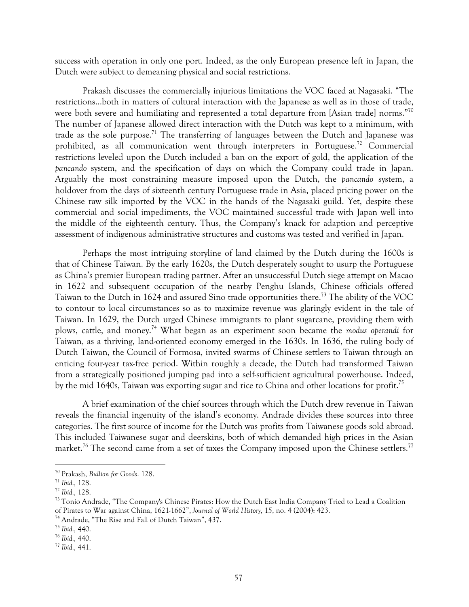success with operation in only one port. Indeed, as the only European presence left in Japan, the Dutch were subject to demeaning physical and social restrictions.

Prakash discusses the commercially injurious limitations the VOC faced at Nagasaki. "The restrictions…both in matters of cultural interaction with the Japanese as well as in those of trade, were both severe and humiliating and represented a total departure from [Asian trade] norms."<sup>70</sup> The number of Japanese allowed direct interaction with the Dutch was kept to a minimum, with trade as the sole purpose.<sup>71</sup> The transferring of languages between the Dutch and Japanese was prohibited, as all communication went through interpreters in Portuguese.<sup>72</sup> Commercial restrictions leveled upon the Dutch included a ban on the export of gold, the application of the *pancando* system, and the specification of days on which the Company could trade in Japan. Arguably the most constraining measure imposed upon the Dutch, the *pancando* system, a holdover from the days of sixteenth century Portuguese trade in Asia, placed pricing power on the Chinese raw silk imported by the VOC in the hands of the Nagasaki guild. Yet, despite these commercial and social impediments, the VOC maintained successful trade with Japan well into the middle of the eighteenth century. Thus, the Company's knack for adaption and perceptive assessment of indigenous administrative structures and customs was tested and verified in Japan.

Perhaps the most intriguing storyline of land claimed by the Dutch during the 1600s is that of Chinese Taiwan. By the early 1620s, the Dutch desperately sought to usurp the Portuguese as China's premier European trading partner. After an unsuccessful Dutch siege attempt on Macao in 1622 and subsequent occupation of the nearby Penghu Islands, Chinese officials offered Taiwan to the Dutch in 1624 and assured Sino trade opportunities there.<sup>73</sup> The ability of the VOC to contour to local circumstances so as to maximize revenue was glaringly evident in the tale of Taiwan. In 1629, the Dutch urged Chinese immigrants to plant sugarcane, providing them with plows, cattle, and money.74 What began as an experiment soon became the *modus operandi* for Taiwan, as a thriving, land-oriented economy emerged in the 1630s. In 1636, the ruling body of Dutch Taiwan, the Council of Formosa, invited swarms of Chinese settlers to Taiwan through an enticing four-year tax-free period. Within roughly a decade, the Dutch had transformed Taiwan from a strategically positioned jumping pad into a self-sufficient agricultural powerhouse. Indeed, by the mid 1640s, Taiwan was exporting sugar and rice to China and other locations for profit.<sup>75</sup>

A brief examination of the chief sources through which the Dutch drew revenue in Taiwan reveals the financial ingenuity of the island's economy. Andrade divides these sources into three categories. The first source of income for the Dutch was profits from Taiwanese goods sold abroad. This included Taiwanese sugar and deerskins, both of which demanded high prices in the Asian market.<sup>76</sup> The second came from a set of taxes the Company imposed upon the Chinese settlers.<sup>77</sup>

<sup>70</sup> Prakash, *Bullion for Goods*. 128. 71 *Ibid.,* 128.

<sup>&</sup>lt;sup>73</sup> Tonio Andrade, "The Company's Chinese Pirates: How the Dutch East India Company Tried to Lead a Coalition of Pirates to War against China, 1621-1662", *Journal of World History*, 15, no. 4 (2004): 423.

<sup>74</sup> Andrade, "The Rise and Fall of Dutch Taiwan", 437.

<sup>75</sup> *Ibid.,* 440.

<sup>76</sup> *Ibid.,* 440.

<sup>77</sup> *Ibid.,* 441.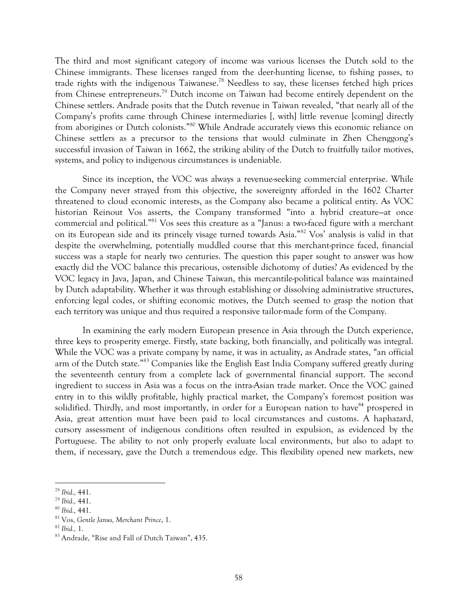The third and most significant category of income was various licenses the Dutch sold to the Chinese immigrants. These licenses ranged from the deer-hunting license, to fishing passes, to trade rights with the indigenous Taiwanese.78 Needless to say, these licenses fetched high prices from Chinese entrepreneurs.79 Dutch income on Taiwan had become entirely dependent on the Chinese settlers. Andrade posits that the Dutch revenue in Taiwan revealed, "that nearly all of the Company's profits came through Chinese intermediaries [, with] little revenue [coming] directly from aborigines or Dutch colonists."80 While Andrade accurately views this economic reliance on Chinese settlers as a precursor to the tensions that would culminate in Zhen Chenggong's successful invasion of Taiwan in 1662, the striking ability of the Dutch to fruitfully tailor motives, systems, and policy to indigenous circumstances is undeniable.

Since its inception, the VOC was always a revenue-seeking commercial enterprise. While the Company never strayed from this objective, the sovereignty afforded in the 1602 Charter threatened to cloud economic interests, as the Company also became a political entity. As VOC historian Reinout Vos asserts, the Company transformed "into a hybrid creature—at once commercial and political."81 Vos sees this creature as a "Janus: a two-faced figure with a merchant on its European side and its princely visage turned towards Asia."82 Vos' analysis is valid in that despite the overwhelming, potentially muddled course that this merchant-prince faced, financial success was a staple for nearly two centuries. The question this paper sought to answer was how exactly did the VOC balance this precarious, ostensible dichotomy of duties? As evidenced by the VOC legacy in Java, Japan, and Chinese Taiwan, this mercantile-political balance was maintained by Dutch adaptability. Whether it was through establishing or dissolving administrative structures, enforcing legal codes, or shifting economic motives, the Dutch seemed to grasp the notion that each territory was unique and thus required a responsive tailor-made form of the Company.

In examining the early modern European presence in Asia through the Dutch experience, three keys to prosperity emerge. Firstly, state backing, both financially, and politically was integral. While the VOC was a private company by name, it was in actuality, as Andrade states, "an official arm of the Dutch state."<sup>83</sup> Companies like the English East India Company suffered greatly during the seventeenth century from a complete lack of governmental financial support. The second ingredient to success in Asia was a focus on the intra-Asian trade market. Once the VOC gained entry in to this wildly profitable, highly practical market, the Company's foremost position was solidified. Thirdly, and most importantly, in order for a European nation to have<sup>84</sup> prospered in Asia, great attention must have been paid to local circumstances and customs. A haphazard, cursory assessment of indigenous conditions often resulted in expulsion, as evidenced by the Portuguese. The ability to not only properly evaluate local environments, but also to adapt to them, if necessary, gave the Dutch a tremendous edge. This flexibility opened new markets, new

<sup>78</sup> *Ibid.,* 441. 79 *Ibid.,* 441. 80 *Ibid.,* 441.

<sup>81</sup> Vos, *Gentle Janus, Merchant Prince*, 1. 82 *Ibid.,* 1.

<sup>83</sup> Andrade, "Rise and Fall of Dutch Taiwan", 435.